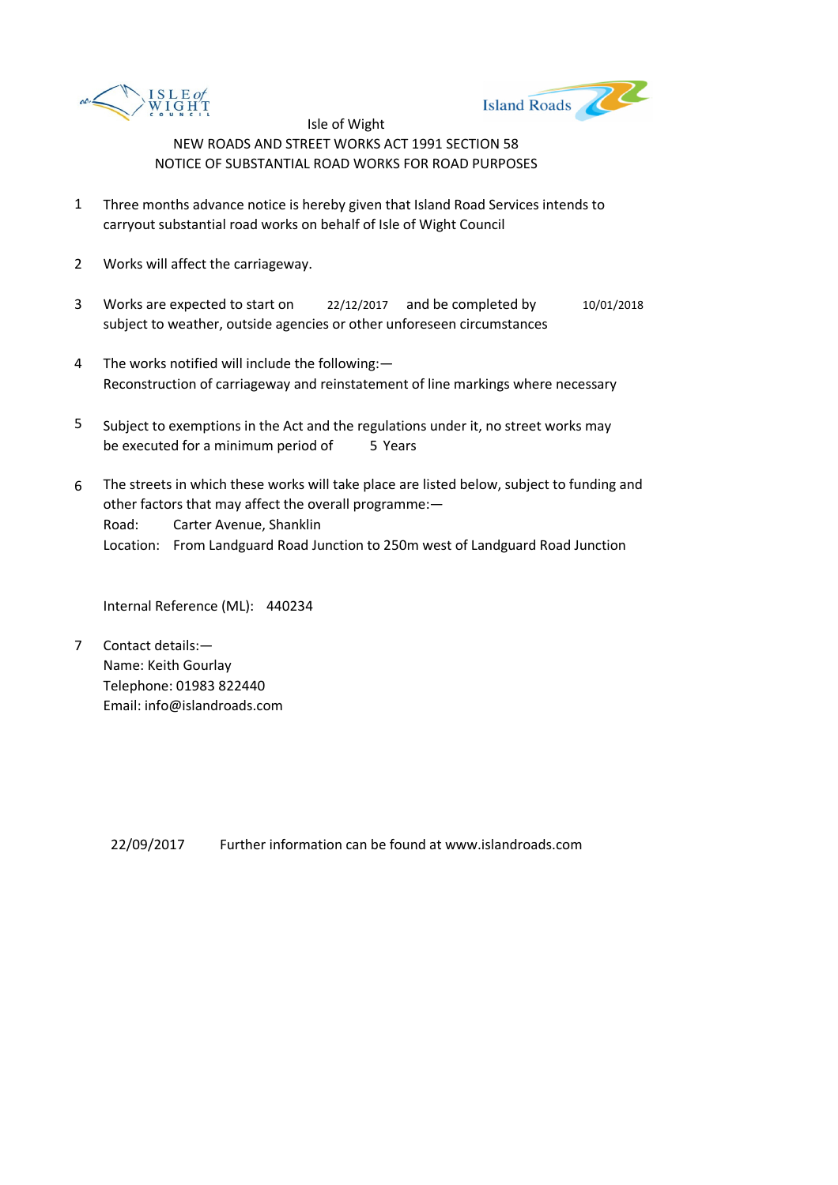



Isle of Wight NEW ROADS AND STREET WORKS ACT 1991 SECTION 58 NOTICE OF SUBSTANTIAL ROAD WORKS FOR ROAD PURPOSES

- 1 Three months advance notice is hereby given that Island Road Services intends to carryout substantial road works on behalf of Isle of Wight Council
- 2 Works will affect the carriageway.
- 3 Works are expected to start on <br>22/12/2017 and be completed by 10/01/2018 subject to weather, outside agencies or other unforeseen circumstances
- 4 The works notified will include the following:— Reconstruction of carriageway and reinstatement of line markings where necessary
- 5 be executed for a minimum period of 5 Years Subject to exemptions in the Act and the regulations under it, no street works may
- 6 Road: Carter Avenue, Shanklin Location: From Landguard Road Junction to 250m west of Landguard Road Junction The streets in which these works will take place are listed below, subject to funding and other factors that may affect the overall programme:—

Internal Reference (ML): 440234

7 Contact details:— Name: Keith Gourlay Telephone: 01983 822440 Email: info@islandroads.com

> Further information can be found at www.islandroads.com 22/09/2017